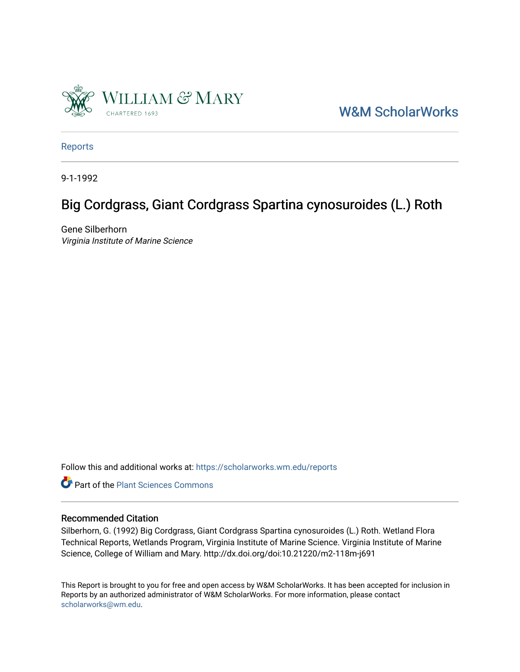

[W&M ScholarWorks](https://scholarworks.wm.edu/) 

[Reports](https://scholarworks.wm.edu/reports)

9-1-1992

## Big Cordgrass, Giant Cordgrass Spartina cynosuroides (L.) Roth

Gene Silberhorn Virginia Institute of Marine Science

Follow this and additional works at: [https://scholarworks.wm.edu/reports](https://scholarworks.wm.edu/reports?utm_source=scholarworks.wm.edu%2Freports%2F469&utm_medium=PDF&utm_campaign=PDFCoverPages)



#### Recommended Citation

Silberhorn, G. (1992) Big Cordgrass, Giant Cordgrass Spartina cynosuroides (L.) Roth. Wetland Flora Technical Reports, Wetlands Program, Virginia Institute of Marine Science. Virginia Institute of Marine Science, College of William and Mary. http://dx.doi.org/doi:10.21220/m2-118m-j691

This Report is brought to you for free and open access by W&M ScholarWorks. It has been accepted for inclusion in Reports by an authorized administrator of W&M ScholarWorks. For more information, please contact [scholarworks@wm.edu.](mailto:scholarworks@wm.edu)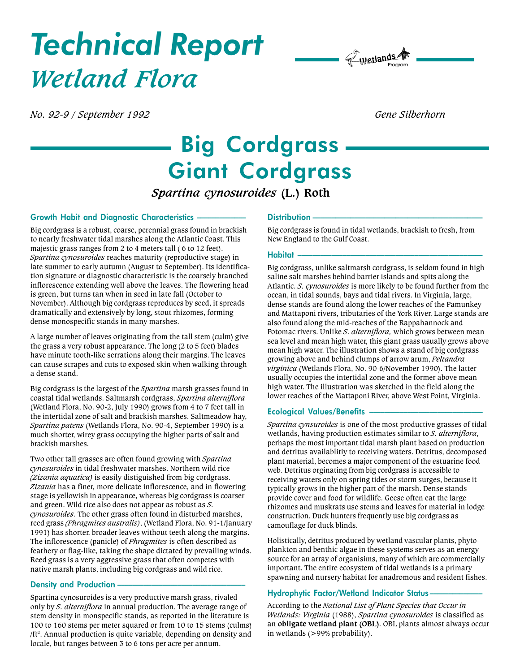# Technical Report Wetland Flora



No. 92-9 / September 1992 and the state of the Silberhorn Gene Silberhorn Gene Silberhorn

## Big Cordgrass Giant Cordgrass

### Spartina cynosuroides (L.) Roth

#### Growth Habit and Diagnostic Characteristics

Big cordgrass is a robust, coarse, perennial grass found in brackish to nearly freshwater tidal marshes along the Atlantic Coast. This majestic grass ranges from 2 to 4 meters tall ( 6 to 12 feet). Spartina cynosuroides reaches maturity (reproductive stage) in late summer to early autumn (August to September). Its identification signature or diagnostic characteristic is the coarsely branched inflorescence extending well above the leaves. The flowering head is green, but turns tan when in seed in late fall (October to November). Although big cordgrass reproduces by seed, it spreads dramatically and extensively by long, stout rhizomes, forming dense monospecific stands in many marshes.

A large number of leaves originating from the tall stem (culm) give the grass a very robust appearance. The long (2 to 5 feet) blades have minute tooth-like serrations along their margins. The leaves can cause scrapes and cuts to exposed skin when walking through a dense stand.

Big cordgrass is the largest of the *Spartina* marsh grasses found in coastal tidal wetlands. Saltmarsh cordgrass, Spartina alterniflora (Wetland Flora, No. 90-2, July 1990) grows from 4 to 7 feet tall in the intertidal zone of salt and brackish marshes. Saltmeadow hay, Spartina patens (Wetlands Flora, No. 90-4, September 1990) is a much shorter, wirey grass occupying the higher parts of salt and brackish marshes.

Two other tall grasses are often found growing with Spartina cynosuroides in tidal freshwater marshes. Northern wild rice (Zizania aquatica) is easily distiguished from big cordgrass. Zizania has a finer, more delicate inflorescence, and in flowering stage is yellowish in appearance, whereas big cordgrass is coarser and green. Wild rice also does not appear as robust as S. cynosuroides. The other grass often found in disturbed marshes, reed grass (Phragmites australis), (Wetland Flora, No. 91-1/January 1991) has shorter, broader leaves without teeth along the margins. The inflorescence (panicle) of *Phragmites* is often described as feathery or flag-like, taking the shape dictated by prevailing winds. Reed grass is a very aggressive grass that often competes with native marsh plants, including big cordgrass and wild rice.

#### Density and Production

Spartina cynosuroides is a very productive marsh grass, rivaled only by S. alterniflora in annual production. The average range of stem density in monspecific stands, as reported in the literature is 100 to 160 stems per meter squared or from 10 to 15 stems (culms) /ft<sup>2</sup>. Annual production is quite variable, depending on density and locale, but ranges between 3 to 6 tons per acre per annum.

#### Distribution -

Big cordgrass is found in tidal wetlands, brackish to fresh, from New England to the Gulf Coast.

#### Habitat

Big cordgrass, unlike saltmarsh cordgrass, is seldom found in high saline salt marshes behind barrier islands and spits along the Atlantic. S. cynosuroides is more likely to be found further from the ocean, in tidal sounds, bays and tidal rivers. In Virginia, large, dense stands are found along the lower reaches of the Pamunkey and Mattaponi rivers, tributaries of the York River. Large stands are also found along the mid-reaches of the Rappahannock and Potomac rivers. Unlike S. alterniflora, which grows between mean sea level and mean high water, this giant grass usually grows above mean high water. The illustration shows a stand of big cordgrass growing above and behind clumps of arrow arum, Peltandra virginica (Wetlands Flora, No. 90-6/November 1990). The latter usually occupies the intertidal zone and the former above mean high water. The illustration was sketched in the field along the lower reaches of the Mattaponi River, above West Point, Virginia.

#### Ecological Values/Benefits

Spartina cynsuroides is one of the most productive grasses of tidal wetlands, having production estimates similar to S. alterniflora, perhaps the most important tidal marsh plant based on production and detritus availablitiy to receiving waters. Detritus, decomposed plant material, becomes a major component of the estuarine food web. Detritus orginating from big cordgrass is accessible to receiving waters only on spring tides or storm surges, because it typically grows in the higher part of the marsh. Dense stands provide cover and food for wildlife. Geese often eat the large rhizomes and muskrats use stems and leaves for material in lodge construction. Duck hunters frequently use big cordgrass as camouflage for duck blinds.

Holistically, detritus produced by wetland vascular plants, phytoplankton and benthic algae in these systems serves as an energy source for an array of organisims, many of which are commercially important. The entire ecosystem of tidal wetlands is a primary spawning and nursery habitat for anadromous and resident fishes.

#### Hydrophytic Factor/Wetland Indicator Status

According to the National List of Plant Species that Occur in Wetlands: Virginia (1988), Spartina cynosuroides is classified as an obligate wetland plant (OBL). OBL plants almost always occur in wetlands (>99% probability).